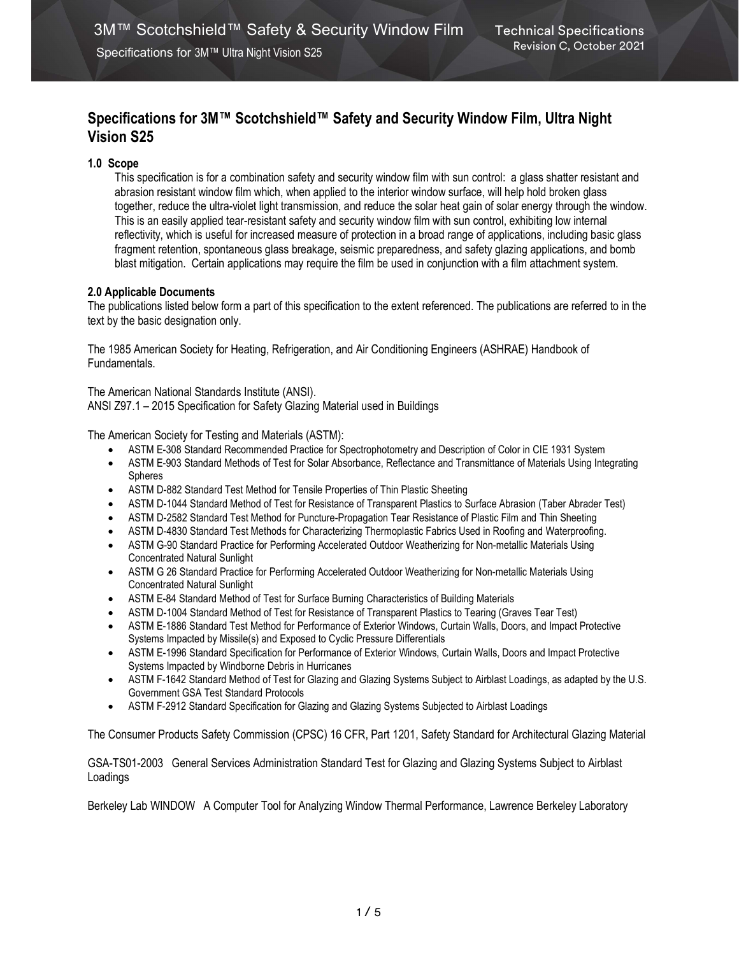# Specifications for 3M™ Scotchshield™ Safety and Security Window Film, Ultra Night Vision S25

# 1.0 Scope

This specification is for a combination safety and security window film with sun control: a glass shatter resistant and abrasion resistant window film which, when applied to the interior window surface, will help hold broken glass together, reduce the ultra-violet light transmission, and reduce the solar heat gain of solar energy through the window. This is an easily applied tear-resistant safety and security window film with sun control, exhibiting low internal reflectivity, which is useful for increased measure of protection in a broad range of applications, including basic glass fragment retention, spontaneous glass breakage, seismic preparedness, and safety glazing applications, and bomb blast mitigation. Certain applications may require the film be used in conjunction with a film attachment system.

## 2.0 Applicable Documents

The publications listed below form a part of this specification to the extent referenced. The publications are referred to in the text by the basic designation only.

The 1985 American Society for Heating, Refrigeration, and Air Conditioning Engineers (ASHRAE) Handbook of Fundamentals.

The American National Standards Institute (ANSI). ANSI Z97.1 – 2015 Specification for Safety Glazing Material used in Buildings

The American Society for Testing and Materials (ASTM):

- ASTM E-308 Standard Recommended Practice for Spectrophotometry and Description of Color in CIE 1931 System
- ASTM E-903 Standard Methods of Test for Solar Absorbance, Reflectance and Transmittance of Materials Using Integrating Spheres
- ASTM D-882 Standard Test Method for Tensile Properties of Thin Plastic Sheeting
- ASTM D-1044 Standard Method of Test for Resistance of Transparent Plastics to Surface Abrasion (Taber Abrader Test)
- ASTM D-2582 Standard Test Method for Puncture-Propagation Tear Resistance of Plastic Film and Thin Sheeting
- ASTM D-4830 Standard Test Methods for Characterizing Thermoplastic Fabrics Used in Roofing and Waterproofing.
- ASTM G-90 Standard Practice for Performing Accelerated Outdoor Weatherizing for Non-metallic Materials Using Concentrated Natural Sunlight
- ASTM G 26 Standard Practice for Performing Accelerated Outdoor Weatherizing for Non-metallic Materials Using Concentrated Natural Sunlight
- ASTM E-84 Standard Method of Test for Surface Burning Characteristics of Building Materials
- ASTM D-1004 Standard Method of Test for Resistance of Transparent Plastics to Tearing (Graves Tear Test)
- ASTM E-1886 Standard Test Method for Performance of Exterior Windows, Curtain Walls, Doors, and Impact Protective Systems Impacted by Missile(s) and Exposed to Cyclic Pressure Differentials
- ASTM E-1996 Standard Specification for Performance of Exterior Windows, Curtain Walls, Doors and Impact Protective Systems Impacted by Windborne Debris in Hurricanes
- ASTM F-1642 Standard Method of Test for Glazing and Glazing Systems Subject to Airblast Loadings, as adapted by the U.S. Government GSA Test Standard Protocols
- ASTM F-2912 Standard Specification for Glazing and Glazing Systems Subjected to Airblast Loadings

The Consumer Products Safety Commission (CPSC) 16 CFR, Part 1201, Safety Standard for Architectural Glazing Material

GSA-TS01-2003 General Services Administration Standard Test for Glazing and Glazing Systems Subject to Airblast Loadings

Berkeley Lab WINDOW A Computer Tool for Analyzing Window Thermal Performance, Lawrence Berkeley Laboratory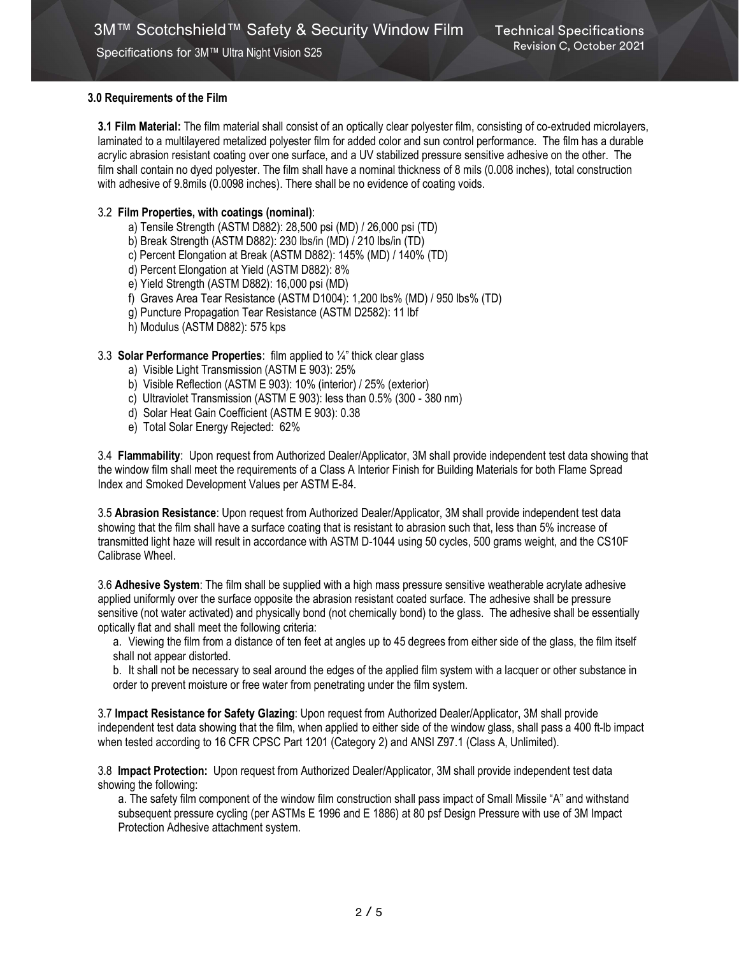# 3.0 Requirements of the Film

3.1 Film Material: The film material shall consist of an optically clear polyester film, consisting of co-extruded microlayers, laminated to a multilayered metalized polyester film for added color and sun control performance. The film has a durable acrylic abrasion resistant coating over one surface, and a UV stabilized pressure sensitive adhesive on the other. The film shall contain no dyed polyester. The film shall have a nominal thickness of 8 mils (0.008 inches), total construction with adhesive of 9.8mils (0.0098 inches). There shall be no evidence of coating voids.

# 3.2 Film Properties, with coatings (nominal):

- a) Tensile Strength (ASTM D882): 28,500 psi (MD) / 26,000 psi (TD)
- b) Break Strength (ASTM D882): 230 lbs/in (MD) / 210 lbs/in (TD)
- c) Percent Elongation at Break (ASTM D882): 145% (MD) / 140% (TD)
- d) Percent Elongation at Yield (ASTM D882): 8%
- e) Yield Strength (ASTM D882): 16,000 psi (MD)
- f) Graves Area Tear Resistance (ASTM D1004): 1,200 lbs% (MD) / 950 lbs% (TD)
- g) Puncture Propagation Tear Resistance (ASTM D2582): 11 lbf
- h) Modulus (ASTM D882): 575 kps

## 3.3 Solar Performance Properties: film applied to  $\frac{1}{4}$ " thick clear glass

- a) Visible Light Transmission (ASTM E 903): 25%
- b) Visible Reflection (ASTM E 903): 10% (interior) / 25% (exterior)
- c) Ultraviolet Transmission (ASTM E 903): less than 0.5% (300 380 nm)
- d) Solar Heat Gain Coefficient (ASTM E 903): 0.38
- e) Total Solar Energy Rejected: 62%

3.4 Flammability: Upon request from Authorized Dealer/Applicator, 3M shall provide independent test data showing that the window film shall meet the requirements of a Class A Interior Finish for Building Materials for both Flame Spread Index and Smoked Development Values per ASTM E-84.

3.5 Abrasion Resistance: Upon request from Authorized Dealer/Applicator, 3M shall provide independent test data showing that the film shall have a surface coating that is resistant to abrasion such that, less than 5% increase of transmitted light haze will result in accordance with ASTM D-1044 using 50 cycles, 500 grams weight, and the CS10F Calibrase Wheel.

3.6 Adhesive System: The film shall be supplied with a high mass pressure sensitive weatherable acrylate adhesive applied uniformly over the surface opposite the abrasion resistant coated surface. The adhesive shall be pressure sensitive (not water activated) and physically bond (not chemically bond) to the glass. The adhesive shall be essentially optically flat and shall meet the following criteria:

a. Viewing the film from a distance of ten feet at angles up to 45 degrees from either side of the glass, the film itself shall not appear distorted.

b. It shall not be necessary to seal around the edges of the applied film system with a lacquer or other substance in order to prevent moisture or free water from penetrating under the film system.

3.7 Impact Resistance for Safety Glazing: Upon request from Authorized Dealer/Applicator, 3M shall provide independent test data showing that the film, when applied to either side of the window glass, shall pass a 400 ft-lb impact when tested according to 16 CFR CPSC Part 1201 (Category 2) and ANSI Z97.1 (Class A, Unlimited).

3.8 Impact Protection: Upon request from Authorized Dealer/Applicator, 3M shall provide independent test data showing the following:

a. The safety film component of the window film construction shall pass impact of Small Missile "A" and withstand subsequent pressure cycling (per ASTMs E 1996 and E 1886) at 80 psf Design Pressure with use of 3M Impact Protection Adhesive attachment system.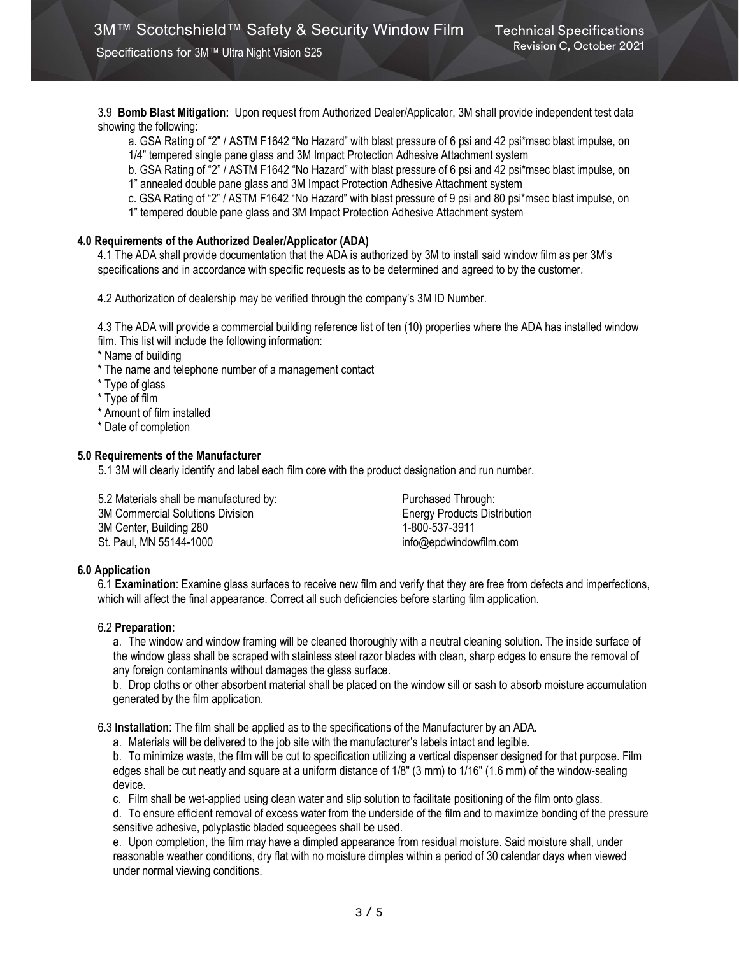3.9 Bomb Blast Mitigation: Upon request from Authorized Dealer/Applicator, 3M shall provide independent test data showing the following:

a. GSA Rating of "2" / ASTM F1642 "No Hazard" with blast pressure of 6 psi and 42 psi\*msec blast impulse, on 1/4" tempered single pane glass and 3M Impact Protection Adhesive Attachment system

b. GSA Rating of "2" / ASTM F1642 "No Hazard" with blast pressure of 6 psi and 42 psi\*msec blast impulse, on 1" annealed double pane glass and 3M Impact Protection Adhesive Attachment system

c. GSA Rating of "2" / ASTM F1642 "No Hazard" with blast pressure of 9 psi and 80 psi\*msec blast impulse, on

1" tempered double pane glass and 3M Impact Protection Adhesive Attachment system

#### 4.0 Requirements of the Authorized Dealer/Applicator (ADA)

4.1 The ADA shall provide documentation that the ADA is authorized by 3M to install said window film as per 3M's specifications and in accordance with specific requests as to be determined and agreed to by the customer.

4.2 Authorization of dealership may be verified through the company's 3M ID Number.

4.3 The ADA will provide a commercial building reference list of ten (10) properties where the ADA has installed window film. This list will include the following information:

\* Name of building

\* The name and telephone number of a management contact

\* Type of glass

\* Type of film

\* Amount of film installed

\* Date of completion

#### 5.0 Requirements of the Manufacturer

5.1 3M will clearly identify and label each film core with the product designation and run number.

5.2 Materials shall be manufactured by: Purchased Through: 3M Commercial Solutions Division Energy Products Distribution 3M Center, Building 280 1-800-537-3911 St. Paul, MN 55144-1000 info@epdwindowfilm.com

## 6.0 Application

6.1 Examination: Examine glass surfaces to receive new film and verify that they are free from defects and imperfections, which will affect the final appearance. Correct all such deficiencies before starting film application.

#### 6.2 Preparation:

a. The window and window framing will be cleaned thoroughly with a neutral cleaning solution. The inside surface of the window glass shall be scraped with stainless steel razor blades with clean, sharp edges to ensure the removal of any foreign contaminants without damages the glass surface.

b. Drop cloths or other absorbent material shall be placed on the window sill or sash to absorb moisture accumulation generated by the film application.

6.3 Installation: The film shall be applied as to the specifications of the Manufacturer by an ADA.

a. Materials will be delivered to the job site with the manufacturer's labels intact and legible.

b. To minimize waste, the film will be cut to specification utilizing a vertical dispenser designed for that purpose. Film edges shall be cut neatly and square at a uniform distance of 1/8" (3 mm) to 1/16" (1.6 mm) of the window-sealing device.

c. Film shall be wet-applied using clean water and slip solution to facilitate positioning of the film onto glass.

d. To ensure efficient removal of excess water from the underside of the film and to maximize bonding of the pressure sensitive adhesive, polyplastic bladed squeegees shall be used.

e. Upon completion, the film may have a dimpled appearance from residual moisture. Said moisture shall, under reasonable weather conditions, dry flat with no moisture dimples within a period of 30 calendar days when viewed under normal viewing conditions.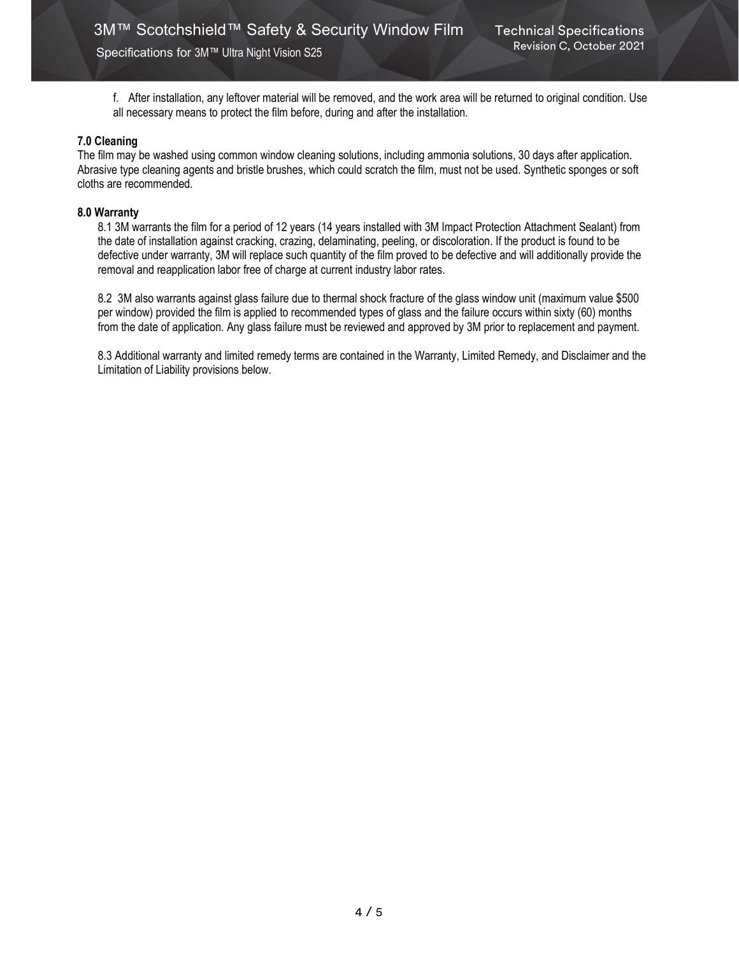f. After installation, any leftover material will be removed, and the work area will be returned to original condition. Use all necessary means to protect the film before, during and after the installation.

## 7.0 Cleaning

The film may be washed using common window cleaning solutions, including ammonia solutions, 30 days after application. Abrasive type cleaning agents and bristle brushes, which could scratch the film, must not be used. Synthetic sponges or soft cloths are recommended.

#### 8.0 Warranty

8.1 3M warrants the film for a period of 12 years (14 years installed with 3M Impact Protection Attachment Sealant) from the date of installation against cracking, crazing, delaminating, peeling, or discoloration. If the product is found to be defective under warranty, 3M will replace such quantity of the film proved to be defective and will additionally provide the removal and reapplication labor free of charge at current industry labor rates.

8.2 3M also warrants against glass failure due to thermal shock fracture of the glass window unit (maximum value \$500 per window) provided the film is applied to recommended types of glass and the failure occurs within sixty (60) months from the date of application. Any glass failure must be reviewed and approved by 3M prior to replacement and payment.

8.3 Additional warranty and limited remedy terms are contained in the Warranty, Limited Remedy, and Disclaimer and the Limitation of Liability provisions below.